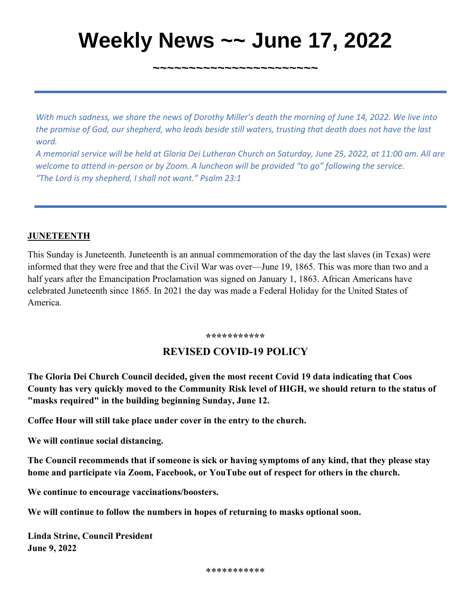# **Weekly News ~~ June 17, 2022**

**~~~~~~~~~~~~~~~~~~~~~~~**

*With much sadness, we share the news of Dorothy Miller's death the morning of June 14, 2022. We live into the promise of God, our shepherd, who leads beside still waters, trusting that death does not have the last word.* 

*A memorial service will be held at Gloria Dei Lutheran Church on Saturday, June 25, 2022, at 11:00 am. All are welcome to attend in-person or by Zoom. A luncheon will be provided "to go" following the service. "The Lord is my shepherd, I shall not want." Psalm 23:1*

#### **JUNETEENTH**

This Sunday is Juneteenth. Juneteenth is an annual commemoration of the day the last slaves (in Texas) were informed that they were free and that the Civil War was over—June 19, 1865. This was more than two and a half years after the Emancipation Proclamation was signed on January 1, 1863. African Americans have celebrated Juneteenth since 1865. In 2021 the day was made a Federal Holiday for the United States of America.

#### **\*\*\*\*\*\*\*\*\*\*\***

# **REVISED COVID-19 POLICY**

**The Gloria Dei Church Council decided, given the most recent Covid 19 data indicating that Coos County has very quickly moved to the Community Risk level of HIGH, we should return to the status of "masks required" in the building beginning Sunday, June 12.**

**Coffee Hour will still take place under cover in the entry to the church.**

**We will continue social distancing.**

**The Council recommends that if someone is sick or having symptoms of any kind, that they please stay home and participate via Zoom, Facebook, or YouTube out of respect for others in the church.**

**We continue to encourage vaccinations/boosters.**

**We will continue to follow the numbers in hopes of returning to masks optional soon.**

**Linda Strine, Council President June 9, 2022**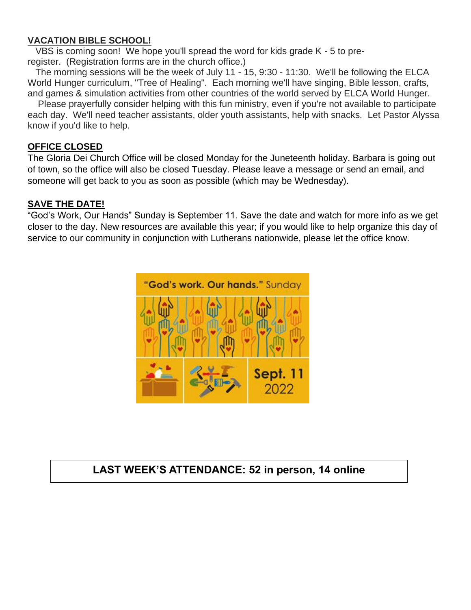## **VACATION BIBLE SCHOOL!**

VBS is coming soon! We hope you'll spread the word for kids grade K - 5 to preregister. (Registration forms are in the church office.)

The morning sessions will be the week of July 11 - 15, 9:30 - 11:30. We'll be following the ELCA World Hunger curriculum, "Tree of Healing". Each morning we'll have singing, Bible lesson, crafts, and games & simulation activities from other countries of the world served by ELCA World Hunger.

Please prayerfully consider helping with this fun ministry, even if you're not available to participate each day. We'll need teacher assistants, older youth assistants, help with snacks. Let Pastor Alyssa know if you'd like to help.

#### **OFFICE CLOSED**

The Gloria Dei Church Office will be closed Monday for the Juneteenth holiday. Barbara is going out of town, so the office will also be closed Tuesday. Please leave a message or send an email, and someone will get back to you as soon as possible (which may be Wednesday).

#### **SAVE THE DATE!**

"God's Work, Our Hands" Sunday is September 11. Save the date and watch for more info as we get closer to the day. New resources are available this year; if you would like to help organize this day of service to our community in conjunction with Lutherans nationwide, please let the office know.



# **LAST WEEK'S ATTENDANCE: 52 in person, 14 online**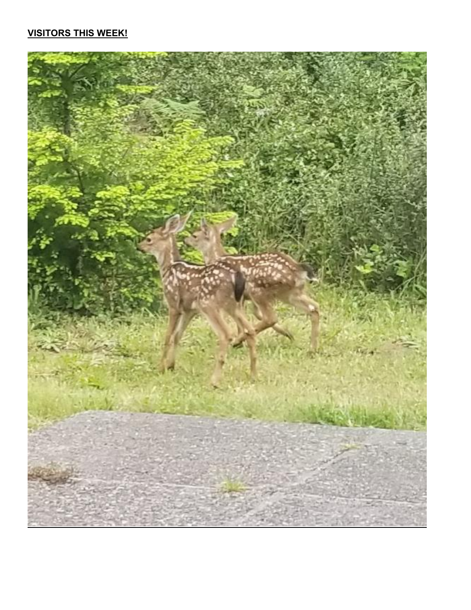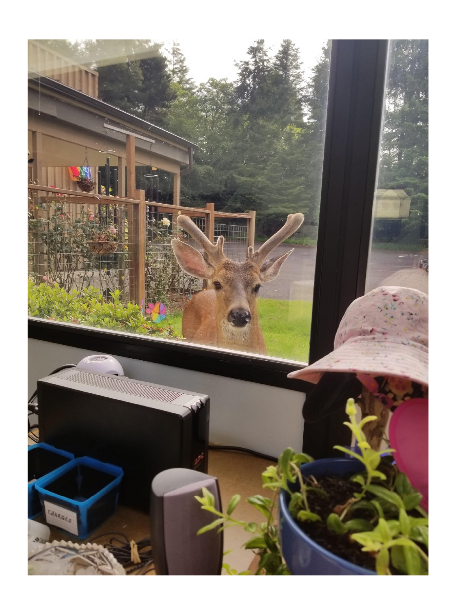